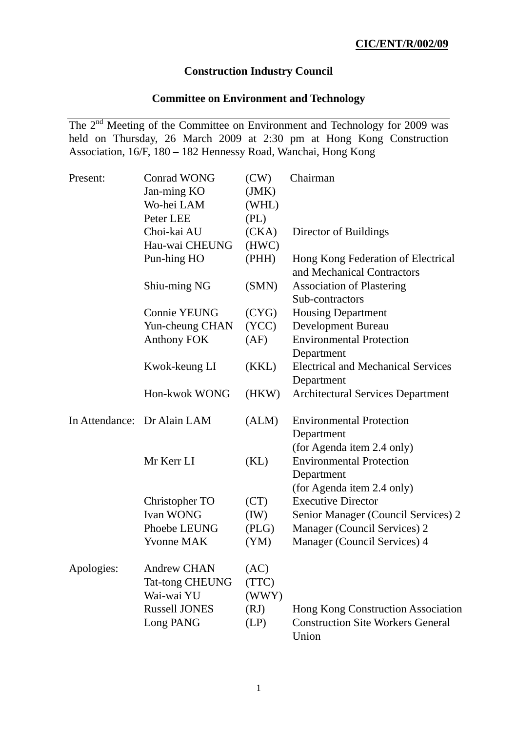## **Construction Industry Council**

# **Committee on Environment and Technology**

The 2<sup>nd</sup> Meeting of the Committee on Environment and Technology for 2009 was held on Thursday, 26 March 2009 at 2:30 pm at Hong Kong Construction Association, 16/F, 180 – 182 Hennessy Road, Wanchai, Hong Kong

| Present:   | <b>Conrad WONG</b>          | (CW)  | Chairman                                                                                                  |
|------------|-----------------------------|-------|-----------------------------------------------------------------------------------------------------------|
|            | Jan-ming KO                 | (JMK) |                                                                                                           |
|            | Wo-hei LAM                  | (WHL) |                                                                                                           |
|            | Peter LEE                   | (PL)  |                                                                                                           |
|            | Choi-kai AU                 | (CKA) | Director of Buildings                                                                                     |
|            | Hau-wai CHEUNG              | (HWC) |                                                                                                           |
|            | Pun-hing HO                 | (PHH) | Hong Kong Federation of Electrical<br>and Mechanical Contractors                                          |
|            | Shiu-ming NG                | (SMN) | <b>Association of Plastering</b>                                                                          |
|            |                             |       | Sub-contractors                                                                                           |
|            | <b>Connie YEUNG</b>         | (CYG) | <b>Housing Department</b>                                                                                 |
|            | Yun-cheung CHAN             | (YCC) | Development Bureau                                                                                        |
|            | <b>Anthony FOK</b>          | (AF)  | <b>Environmental Protection</b><br>Department                                                             |
|            | Kwok-keung LI               | (KKL) | <b>Electrical and Mechanical Services</b><br>Department                                                   |
|            | Hon-kwok WONG               | (HKW) | <b>Architectural Services Department</b>                                                                  |
|            | In Attendance: Dr Alain LAM | (ALM) | <b>Environmental Protection</b><br>Department                                                             |
|            | Mr Kerr LI                  | (KL)  | (for Agenda item 2.4 only)<br><b>Environmental Protection</b><br>Department<br>(for Agenda item 2.4 only) |
|            | Christopher TO              | (CT)  | <b>Executive Director</b>                                                                                 |
|            | <b>Ivan WONG</b>            | (IW)  | Senior Manager (Council Services) 2                                                                       |
|            | Phoebe LEUNG                | (PLG) | Manager (Council Services) 2                                                                              |
|            | <b>Yvonne MAK</b>           | (YM)  | Manager (Council Services) 4                                                                              |
| Apologies: | <b>Andrew CHAN</b>          | (AC)  |                                                                                                           |
|            | <b>Tat-tong CHEUNG</b>      | (TTC) |                                                                                                           |
|            | Wai-wai YU                  | (WWY) |                                                                                                           |
|            | <b>Russell JONES</b>        | (RJ)  | Hong Kong Construction Association                                                                        |
|            | Long PANG                   | (LP)  | <b>Construction Site Workers General</b><br>Union                                                         |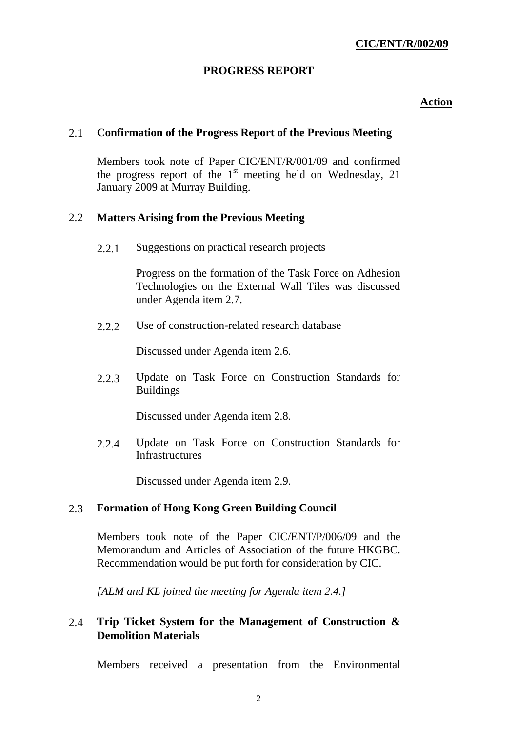## **PROGRESS REPORT**

## *<u>Action</u>*

## 2.1 **Confirmation of the Progress Report of the Previous Meeting**

Members took note of Paper CIC/ENT/R/001/09 and confirmed the progress report of the  $1<sup>st</sup>$  meeting held on Wednesday, 21 January 2009 at Murray Building.

#### 2.2 **Matters Arising from the Previous Meeting**

2.2.1 Suggestions on practical research projects

Progress on the formation of the Task Force on Adhesion Technologies on the External Wall Tiles was discussed under Agenda item 2.7.

2.2.2 Use of construction-related research database

Discussed under Agenda item 2.6.

 2.2.3 Update on Task Force on Construction Standards for Buildings

Discussed under Agenda item 2.8.

 2.2.4 Update on Task Force on Construction Standards for Infrastructures

Discussed under Agenda item 2.9.

## 2.3 **Formation of Hong Kong Green Building Council**

Members took note of the Paper CIC/ENT/P/006/09 and the Memorandum and Articles of Association of the future HKGBC. Recommendation would be put forth for consideration by CIC.

*[ALM and KL joined the meeting for Agenda item 2.4.]* 

# 2.4 **Trip Ticket System for the Management of Construction & Demolition Materials**

Members received a presentation from the Environmental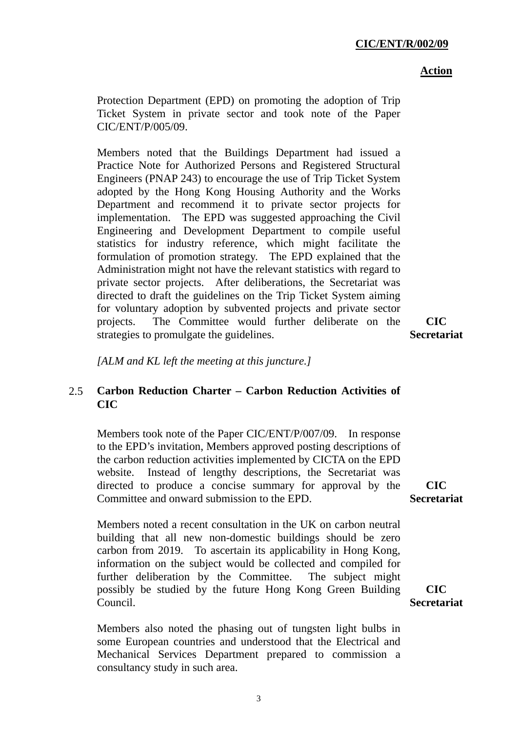#### *<u>Action</u>*

Protection Department (EPD) on promoting the adoption of Trip Ticket System in private sector and took note of the Paper CIC/ENT/P/005/09.

Members noted that the Buildings Department had issued a Practice Note for Authorized Persons and Registered Structural Engineers (PNAP 243) to encourage the use of Trip Ticket System adopted by the Hong Kong Housing Authority and the Works Department and recommend it to private sector projects for implementation. The EPD was suggested approaching the Civil Engineering and Development Department to compile useful statistics for industry reference, which might facilitate the formulation of promotion strategy. The EPD explained that the Administration might not have the relevant statistics with regard to private sector projects. After deliberations, the Secretariat was directed to draft the guidelines on the Trip Ticket System aiming for voluntary adoption by subvented projects and private sector projects. The Committee would further deliberate on the strategies to promulgate the guidelines.

**CIC Secretariat**

*[ALM and KL left the meeting at this juncture.]* 

# 2.5 **Carbon Reduction Charter – Carbon Reduction Activities of CIC**

Members took note of the Paper CIC/ENT/P/007/09. In response to the EPD's invitation, Members approved posting descriptions of the carbon reduction activities implemented by CICTA on the EPD website. Instead of lengthy descriptions, the Secretariat was directed to produce a concise summary for approval by the Committee and onward submission to the EPD.

Members noted a recent consultation in the UK on carbon neutral building that all new non-domestic buildings should be zero carbon from 2019. To ascertain its applicability in Hong Kong, information on the subject would be collected and compiled for further deliberation by the Committee. The subject might possibly be studied by the future Hong Kong Green Building Council.

Members also noted the phasing out of tungsten light bulbs in some European countries and understood that the Electrical and Mechanical Services Department prepared to commission a consultancy study in such area.

**CIC Secretariat**

**CIC Secretariat**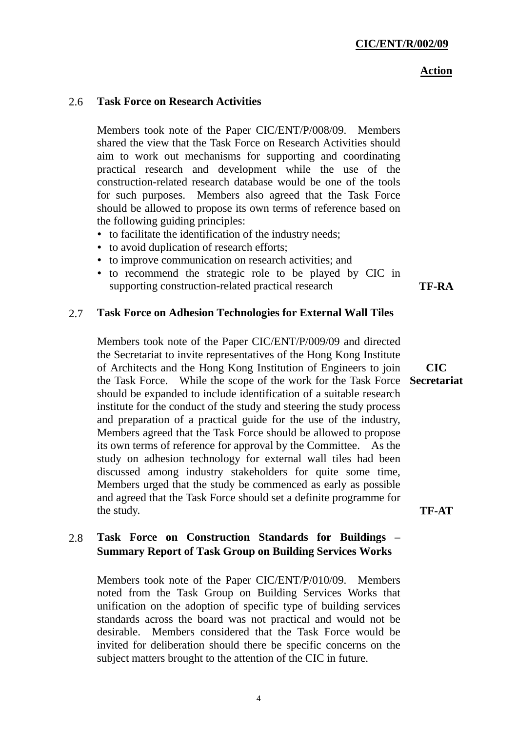# *<u>Action</u>*

# 2.6 **Task Force on Research Activities**

Members took note of the Paper CIC/ENT/P/008/09. Members shared the view that the Task Force on Research Activities should aim to work out mechanisms for supporting and coordinating practical research and development while the use of the construction-related research database would be one of the tools for such purposes. Members also agreed that the Task Force should be allowed to propose its own terms of reference based on the following guiding principles:

- to facilitate the identification of the industry needs;
- to avoid duplication of research efforts;
- to improve communication on research activities; and
- to recommend the strategic role to be played by CIC in supporting construction-related practical research **TF-RA**

# 2.7 **Task Force on Adhesion Technologies for External Wall Tiles**

Members took note of the Paper CIC/ENT/P/009/09 and directed the Secretariat to invite representatives of the Hong Kong Institute of Architects and the Hong Kong Institution of Engineers to join the Task Force. While the scope of the work for the Task Force **Secretariat** should be expanded to include identification of a suitable research institute for the conduct of the study and steering the study process and preparation of a practical guide for the use of the industry, Members agreed that the Task Force should be allowed to propose its own terms of reference for approval by the Committee. As the study on adhesion technology for external wall tiles had been discussed among industry stakeholders for quite some time, Members urged that the study be commenced as early as possible and agreed that the Task Force should set a definite programme for the study.

# 2.8 **Task Force on Construction Standards for Buildings – Summary Report of Task Group on Building Services Works**

Members took note of the Paper CIC/ENT/P/010/09. Members noted from the Task Group on Building Services Works that unification on the adoption of specific type of building services standards across the board was not practical and would not be desirable. Members considered that the Task Force would be invited for deliberation should there be specific concerns on the subject matters brought to the attention of the CIC in future.

**CIC** 

**TF-AT**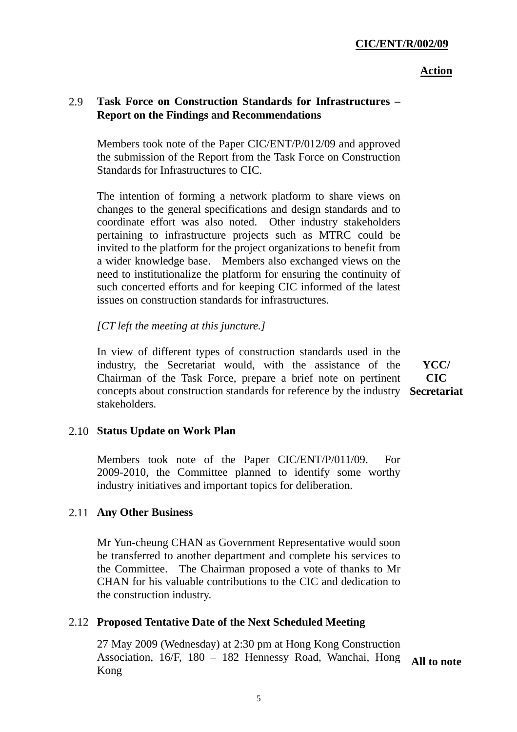#### *<u>Action</u>*

# 2.9 **Task Force on Construction Standards for Infrastructures – Report on the Findings and Recommendations**

Members took note of the Paper CIC/ENT/P/012/09 and approved the submission of the Report from the Task Force on Construction Standards for Infrastructures to CIC.

The intention of forming a network platform to share views on changes to the general specifications and design standards and to coordinate effort was also noted. Other industry stakeholders pertaining to infrastructure projects such as MTRC could be invited to the platform for the project organizations to benefit from a wider knowledge base. Members also exchanged views on the need to institutionalize the platform for ensuring the continuity of such concerted efforts and for keeping CIC informed of the latest issues on construction standards for infrastructures.

## *[CT left the meeting at this juncture.]*

In view of different types of construction standards used in the industry, the Secretariat would, with the assistance of the Chairman of the Task Force, prepare a brief note on pertinent concepts about construction standards for reference by the industry **Secretariat** stakeholders.

**YCC/ CIC** 

## 2.10 **Status Update on Work Plan**

Members took note of the Paper CIC/ENT/P/011/09. For 2009-2010, the Committee planned to identify some worthy industry initiatives and important topics for deliberation.

## 2.11 **Any Other Business**

Mr Yun-cheung CHAN as Government Representative would soon be transferred to another department and complete his services to the Committee. The Chairman proposed a vote of thanks to Mr CHAN for his valuable contributions to the CIC and dedication to the construction industry.

## 2.12 **Proposed Tentative Date of the Next Scheduled Meeting**

27 May 2009 (Wednesday) at 2:30 pm at Hong Kong Construction Association, 16/F, 180 – 182 Hennessy Road, Wanchai, Hong Kong

**All to note**